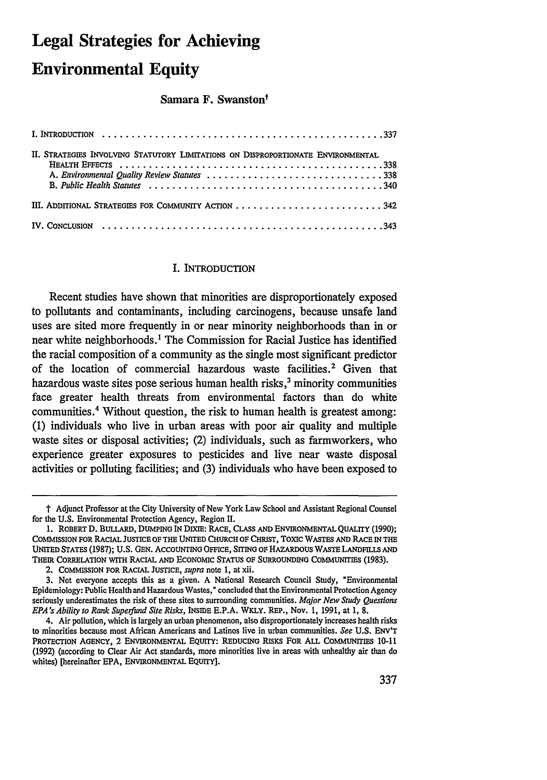# Legal Strategies for Achieving Environmental Equity

#### Samara F. Swanston'

| II. STRATEGIES INVOLVING STATUTORY LIMITATIONS ON DISPROPORTIONATE ENVIRONMENTAL |  |
|----------------------------------------------------------------------------------|--|
| III. ADDITIONAL STRATEGIES FOR COMMUNITY ACTION 342                              |  |
|                                                                                  |  |

#### I. INTRODUCTION

Recent studies have shown that minorities are disproportionately exposed to pollutants and contaminants, including carcinogens, because unsafe land uses are sited more frequently in or near minority neighborhoods than in or near white neighborhoods.1 The Commission for Racial Justice has identified the racial composition of a community as the single most significant predictor of the location of commercial hazardous waste facilities.<sup>2</sup> Given that hazardous waste sites pose serious human health risks, $3$  minority communities face greater health threats from environmental factors than do white communities.4 Without question, the risk to human health is greatest among: **(1)** individuals who live in urban areas with poor air quality and multiple waste sites or disposal activities; (2) individuals, such as farmworkers, who experience greater exposures to pesticides and live near waste disposal activities or polluting facilities; and **(3)** individuals who have been exposed to

t Adjunct Professor at the City University of New York Law School and Assistant Regional Counsel for the **U.S.** Environmental Protection Agency, Region II.

**<sup>1.</sup>** ROBERT **D.** BULLARD, DUMPING IN **DIXIE:** RACE, **CLASS AND** ENVIRONMENTAL QUALITY **(1990); COMMISSION** FOR RACIAL **JUSTICE** OF THE **UNITED CHURCH** OF CHRIST, **Toxic** WASTES **AND** RACE IN THE UNITED **STATES** (1987); **U.S. GEN.** ACCOUNTING OFFICE, SITING OF HAZARDOUS WASTE LANDFILLS **AND** THEIR CORRELATION **WITH** RACIAL **AND** ECONOMIC STATUS OF SURROUNDING COMMUNITIES **(1983).**

<sup>2.</sup> COMMISSION FOR RACIAL **JUSTICE,** *supra* note **1,** at xii.

**<sup>3.</sup>** Not everyone accepts this as a given. **A** National Research Council Study, "Environmental Epidemiology: Public Health and Hazardous Wastes," concluded that the Environmental Protection Agency seriously underestimates the risk of these sites to surrounding communities. *Major New Study Questions EPA's Ability to Rank Superfund Site Risks, INSIDE E.P.A. WKLY. REP., Nov. 1, 1991, at 1, 8.* 

<sup>4.</sup> Air pollution, which is largely an urban phenomenon, also disproportionately increases health risks to minorities because most African Americans and Latinos live in urban communities. *See* **U.S.** ENV'T PROTECTION **AGENCY,** 2 ENVIRONMENTAL EQUITY: REDUCING RISKS FOR **ALL COMMUNITIES** 10-11 (1992) (according to Clear Air Act standards, more minorities live in areas with unhealthy air than do whites) [hereinafter EPA, ENVIRONMENTAL EQUITY].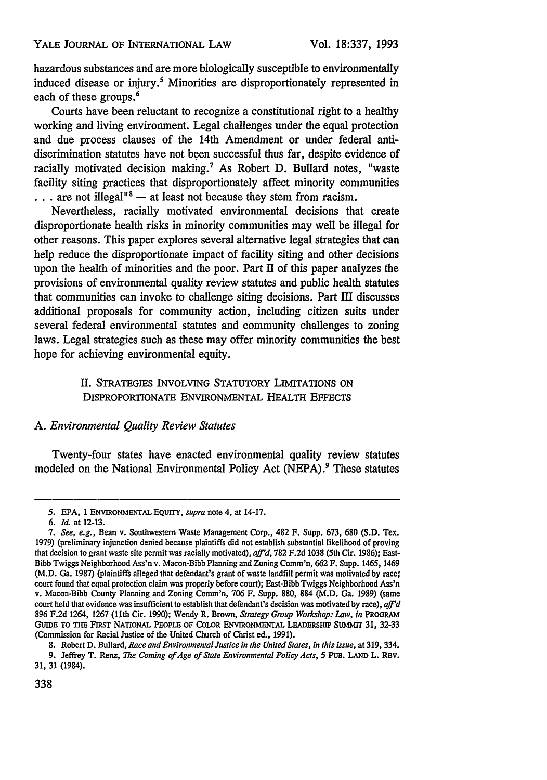hazardous substances and are more biologically susceptible to environmentally induced disease or injury.<sup>5</sup> Minorities are disproportionately represented in each of these groups.<sup>6</sup>

Courts have been reluctant to recognize a constitutional right to a healthy working and living environment. Legal challenges under the equal protection and due process clauses of the 14th Amendment or under federal antidiscrimination statutes have not been successful thus far, despite evidence of racially motivated decision making.7 As Robert D. Bullard notes, "waste facility siting practices that disproportionately affect minority communities **.. .**are not illegal"' **-** at least not because they stem from racism.

Nevertheless, racially motivated environmental decisions that create disproportionate health risks in minority communities may well be illegal for other reasons. This paper explores several alternative legal strategies that can help reduce the disproportionate impact of facility siting and other decisions upon the health of minorities and the poor. Part **H** of this paper analyzes the provisions of environmental quality review statutes and public health statutes that communities can invoke to challenge siting decisions. Part III discusses additional proposals for community action, including citizen suits under several federal environmental statutes and community challenges to zoning laws. Legal strategies such as these may offer minority communities the best hope for achieving environmental equity.

## II. **STRATEGIES** INVOLVING STATUTORY LIMITATIONS **ON DISPROPORTIONATE ENVIRONMENTAL HEALTH EFFECTS**

## *A. Environmental Quality Review Statutes*

Twenty-four states have enacted environmental quality review statutes modeled on the National Environmental Policy Act (NEPA).<sup>9</sup> These statutes

<sup>5.</sup> EPA, 1 **ENVIRONMENTAL EQUITY,** *supra* note 4, at 14-17.

*<sup>6.</sup> Id.* at 12-13.

*<sup>7.</sup> See, e.g.,* Bean v. Southwestern Waste Management Corp., 482 F. Supp. 673, 680 (S.D. Tex. 1979) (preliminary injunction denied because plaintiffs did not establish substantial likelihood of proving that decision to grant waste site permit was racially motivated), *aff'd,* 782 F.2d 1038 (5th Cir. 1986); East-Bibb Twiggs Neighborhood Ass'n v. Macon-Bibb Planning and Zoning Comm'n, 662 F. Supp. 1465, 1469 (M.D. Ga. 1987) (plaintiffs alleged that defendant's grant of waste landfill permit was motivated by race; court found that equal protection claim was properly before court); East-Bibb Twiggs Neighborhood Ass'n v. Macon-Bibb County Planning and Zoning Comm'n, 706 F. Supp. 880, 884 (M.D. Ga. 1989) (same court held that evidence was insufficient to establish that defendant's decision was motivated by race), *aff'd* 896 F.2d 1264, 1267 (1lth Cir. 1990); Wendy R. Brown, *Strategy Group Workshop: Law, in* PROORAM **GUIDE TO THE FIRST NATIONAL PEOPLE OF** COLOR **ENVIRONMENTAL LEADERSHiP** SUMMrr **31, 32-33** (Commission for Racial Justice of the United Church of Christ ed., **1991).**

**<sup>8.</sup>** Robert **D.** Bullard, *Race and Environmental Justice in the United States, in this issue,* at **319,** 334. **9.** Jeffrey T. Renz, *The Coming ofAge of State Environmental Policy Acts, 5* **PUB. LAND** L. REV. 31, 31 (1984).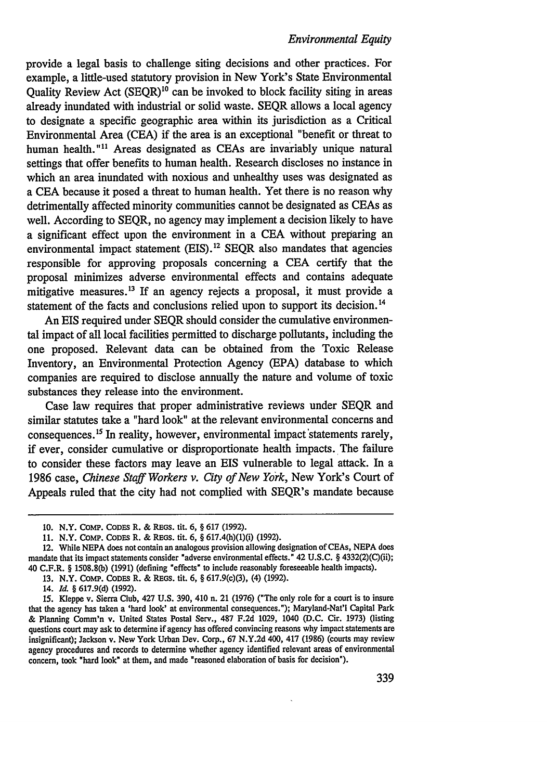#### *Environmental Equity*

provide a legal basis to challenge siting decisions and other practices. For example, a little-used statutory provision in New York's State Environmental Quality Review Act  $(SEOR)^{10}$  can be invoked to block facility siting in areas already inundated with industrial or solid waste. SEQR allows a local agency to designate a specific geographic area within its jurisdiction as a Critical Environmental Area (CEA) if the area is an exceptional "benefit or threat to human health."<sup>11</sup> Areas designated as CEAs are invariably unique natural settings that offer benefits to human health. Research discloses no instance in which an area inundated with noxious and unhealthy uses was designated as a CEA because it posed a threat to human health. Yet there is no reason why detrimentally affected minority communities cannot be designated as CEAs as well. According to SEQR, no agency may implement a decision likely to have a significant effect upon the environment in a CEA without preparing an environmental impact statement  $(EIS)$ .<sup>12</sup> SEQR also mandates that agencies responsible for approving proposals concerning a CEA certify that the proposal minimizes adverse environmental effects and contains adequate mitigative measures.<sup>13</sup> If an agency rejects a proposal, it must provide a statement of the facts and conclusions relied upon to support its decision.<sup>14</sup>

An EIS required under SEQR should consider the cumulative environmental impact of all local facilities permitted to discharge pollutants, including the one proposed. Relevant data can be obtained from the Toxic Release Inventory, an Environmental Protection Agency (EPA) database to which companies are required to disclose annually the nature and volume of toxic substances they release into the environment.

Case law requires that proper administrative reviews under SEQR and similar statutes take a "hard look" at the relevant environmental concerns and consequences.<sup>15</sup> In reality, however, environmental impact statements rarely, if ever, consider cumulative or disproportionate health impacts. The failure to consider these factors may leave an EIS vulnerable to legal attack. In a 1986 case, *Chinese Staff Workers v. City of New York,* New York's Court of Appeals ruled that the city had not complied with SEQR's mandate because

- **13.** N.Y. COMP. CODES R. & REGS. tit. 6, § 617.9(c)(3), (4) (1992).
	- 14. *Id. §* 617.9(d) (1992).

**<sup>10.</sup>** N.Y. CoMP. **CoDEs** R. & **REGS.** tit. 6, **§ 617** (1992).

<sup>11.</sup> N.Y. COMP. CoDEs R. & **REGS.** tit. 6, § 617.4(h)(1)(i) (1992).

<sup>12.</sup> While NEPA does not contain an analogous provision allowing designation of CEAs, NEPA does mandate that its impact statements consider "adverse environmental effects." 42 U.S.C. § 4332(2)(C)(ii); 40 C.F.R. § 1508.8(b) (1991) (defining "effects" to include reasonably foreseeable health impacts).

<sup>15.</sup> Kleppe v. Sierra Club, 427 U.S. 390, 410 n. 21 (1976) ("The only role for a court is to insure that the agency has taken a 'hard look' at environmental consequences."); Maryland-Nat'l Capital Park & Planning Comm'n v. United States Postal Serv., 487 F.2d 1029, 1040 (D.C. Cir. 1973) (listing questions court may ask to determine if agency has offered convincing reasons why impact statements are insignificant); Jackson v. New York Urban Dev. Corp., 67 N.Y.2d 400, 417 (1986) (courts may review agency procedures and records to determine whether agency identified relevant areas of environmental concern, took "hard look" at them, and made 'reasoned elaboration of basis for decision').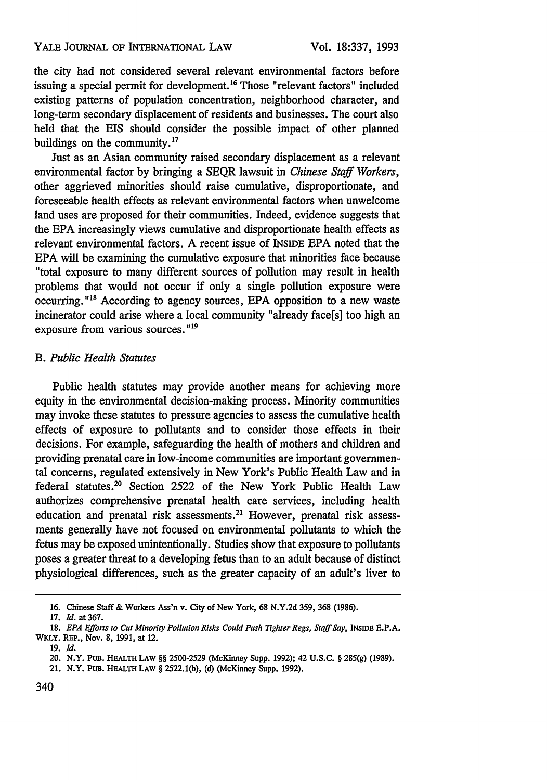the city had not considered several relevant environmental factors before issuing a special permit for development.16 Those "relevant factors" included existing patterns of population concentration, neighborhood character, and long-term secondary displacement of residents and businesses. The court also held that the EIS should consider the possible impact of other planned buildings on the community. $^{17}$ 

Just as an Asian community raised secondary displacement as a relevant environmental factor by bringing a SEQR lawsuit in *Chinese Staff Workers,* other aggrieved minorities should raise cumulative, disproportionate, and foreseeable health effects as relevant environmental factors when unwelcome land uses are proposed for their communities. Indeed, evidence suggests that the EPA increasingly views cumulative and disproportionate health effects as relevant environmental factors. A recent issue of **INSIDE** EPA noted that the EPA will be examining the cumulative exposure that minorities face because "total exposure to many different sources of pollution may result in health problems that would not occur if only a single pollution exposure were occurring. **"Is** According to agency sources, **EPA** opposition to a new waste incinerator could arise where a local community "already face[s] too high an exposure from various sources."<sup>19</sup>

## *B. Public Health Statutes*

Public health statutes may provide another means for achieving more equity in the environmental decision-making process. Minority communities may invoke these statutes to pressure agencies to assess the cumulative health effects of exposure to pollutants and to consider those effects in their decisions. For example, safeguarding the health of mothers and children and providing prenatal care in low-income communities are important governmental concerns, regulated extensively in New York's Public Health Law and in federal statutes.<sup>20</sup> Section 2522 of the New York Public Health Law authorizes comprehensive prenatal health care services, including health education and prenatal risk assessments.<sup>21</sup> However, prenatal risk assessments generally have not focused on environmental pollutants to which the fetus may be exposed unintentionally. Studies show that exposure to pollutants poses a greater threat to a developing fetus than to an adult because of distinct physiological differences, such as the greater capacity of an adult's liver to

<sup>16.</sup> Chinese Staff & Workers Ass'n v. City of New York, 68 N.Y.2d 359, 368 (1986).

**<sup>17.</sup>** *Id.* at 367.

**<sup>18.</sup>** *EPA Efforts to Cut Minority Pollution Risks Could Push Tighter Regs, Staff Say,* INSIDE E.P.A. WKLY. REP., Nov. 8, 1991, at 12.

**<sup>19.</sup>** *Id.*

<sup>20.</sup> N.Y. PuB. HEALTH LAW **§§ 2500-2529** (McKinney Supp. 1992); 42 U.S.C. **§ 285(g) (1989).**

<sup>21.</sup> N.Y. PuB. **HEALTH LAW § 2522.1(b),** (d) (McKinney Supp. 1992).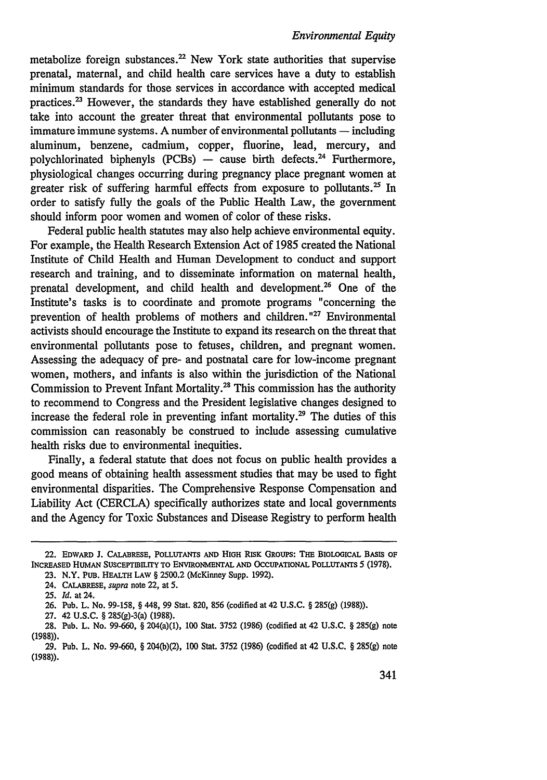#### *Environmental Equity*

metabolize foreign substances.<sup>22</sup> New York state authorities that supervise prenatal, maternal, and child health care services have a duty to establish minimum standards for those services in accordance with accepted medical practices.<sup>23</sup> However, the standards they have established generally do not take into account the greater threat that environmental pollutants pose to immature immune systems. A number of environmental pollutants  $-$  including aluminum, benzene, cadmium, copper, fluorine, lead, mercury, and polychlorinated biphenyls (PCBs)  $-$  cause birth defects.<sup>24</sup> Furthermore, physiological changes occurring during pregnancy place pregnant women at greater risk of suffering harmful effects from exposure to pollutants.<sup>25</sup> In order to satisfy fully the goals of the Public Health Law, the government should inform poor women and women of color of these risks.

Federal public health statutes may also help achieve environmental equity. For example, the Health Research Extension Act of 1985 created the National Institute of Child Health and Human Development to conduct and support research and training, and to disseminate information on maternal health, prenatal development, and child health and development.26 One of the Institute's tasks is to coordinate and promote programs "concerning the prevention of health problems of mothers and children."27 Environmental activists should encourage the Institute to expand its research on the threat that environmental pollutants pose to fetuses, children, and pregnant women. Assessing the adequacy of pre- and postnatal care for low-income pregnant women, mothers, and infants is also within the jurisdiction of the National Commission to Prevent Infant Mortality.<sup>28</sup> This commission has the authority to recommend to Congress and the President legislative changes designed to increase the federal role in preventing infant mortality.29 The duties of this commission can reasonably be construed to include assessing cumulative health risks due to environmental inequities.

Finally, a federal statute that does not focus on public health provides a good means of obtaining health assessment studies that may be used to fight environmental disparities. The Comprehensive Response Compensation and Liability Act (CERCLA) specifically authorizes state and local governments and the Agency for Toxic Substances and Disease Registry to perform health

<sup>22.</sup> EDWARD **J.** CALABRESE, POLLUTANTS **AND HIGH** RISK GRouPs: **THE** BIOLOGICAL BASIS OF **INCREASED** HUMAN SUSCEPTIBILITY TO ENVIRONMENTAL **AND** OCCUPATIONAL POLLUTANTS 5 **(1978).**

**<sup>23.</sup>** N.Y. PUB. HEALTH LAW § 2500.2 (McKinney Supp. 1992).

<sup>24.</sup> CALABRESE, *supra* note 22, at 5.

*<sup>25.</sup> Id. at* 24.

<sup>26.</sup> Pub. L. No. 99-158, § 448, 99 Stat. 820, 856 (codified at 42 **U.S.C.** § 285(g) (1988)).

**<sup>27.</sup>** 42 **U.S.C.** § 285(g)-3(a) (1988).

**<sup>28.</sup>** Pub. L. No. 99-660, § 204(a)(1), **100** Stat. 3752 (1986) (codified at 42 U.S.C. § 285(g) note (1988)).

**<sup>29.</sup>** Pub. L. No. 99-660, § 204(b)(2), **100** Stat. 3752 (1986) (codified at 42 **U.S.C.** § 285(g) note (1988)).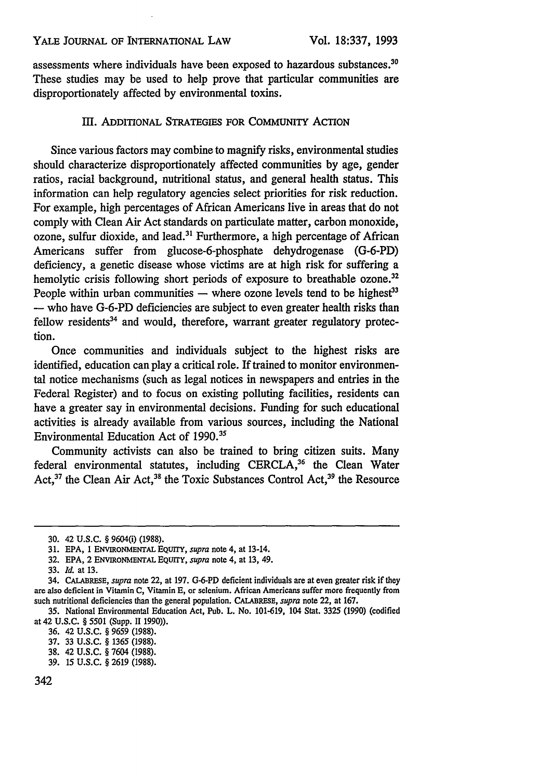assessments where individuals have been exposed to hazardous substances.<sup>30</sup> These studies may be used to help prove that particular communities are disproportionately affected by environmental toxins.

### Im. **ADDITIONAL** STRATEGIES FOR COMMUNITY ACTION

Since various factors may combine to magnify risks, environmental studies should characterize disproportionately affected communities by age, gender ratios, racial background, nutritional status, and general health status. This information can help regulatory agencies select priorities for risk reduction. For example, high percentages of African Americans live in areas that do not comply with Clean Air Act standards on particulate matter, carbon monoxide, ozone, sulfur dioxide, and lead.<sup>31</sup> Furthermore, a high percentage of African Americans suffer from glucose-6-phosphate dehydrogenase (G-6-PD) deficiency, a genetic disease whose victims are at high risk for suffering a hemolytic crisis following short periods of exposure to breathable ozone.<sup>32</sup> People within urban communities  $-$  where ozone levels tend to be highest<sup>33</sup> **-** who have G-6-PD deficiencies are subject to even greater health risks than  $f$ ellow residents<sup>34</sup> and would, therefore, warrant greater regulatory protection.

Once communities and individuals subject to the highest risks are identified, education can play a critical role. If trained to monitor environmental notice mechanisms (such as legal notices in newspapers and entries in the Federal Register) and to focus on existing polluting facilities, residents can have a greater say in environmental decisions. Funding for such educational activities is already available from various sources, including the National Environmental Education Act of **1990."5**

Community activists can also be trained to bring citizen suits. Many federal environmental statutes, including CERCLA,<sup>36</sup> the Clean Water Act,  $37$  the Clean Air Act,  $38$  the Toxic Substances Control Act,  $39$  the Resource

**36.** 42 **U.S.C.** § 9659 (1988).

**<sup>30.</sup>** 42 **U.S.C.** § 9604(i) (1988).

<sup>31.</sup> EPA, 1 ENVIRONMENTAL EQUrrY, *supra* note 4, at 13-14.

**<sup>32.</sup> EPA,** 2 ENVIRONMENTAL EQtrrry, *supra* note 4, at 13, 49.

<sup>33.</sup> *Id.* at 13.

<sup>34.</sup> CALABRESE, *supra* note 22, at 197. G-6-PD deficient individuals are at even greater risk if they are also deficient in Vitamin **C,** Vitamin **E,** or selenium. African Americans suffer more frequently from such nutritional deficiencies than the general population. CALABRESE, *supra* note 22, at 167.

**<sup>35.</sup>** National Environmental Education Act, Pub. L. No. 101-619, 104 Stat. 3325 (1990) (codified at 42 U.S.C. § 5501 (Supp. II 1990)).

**<sup>37.</sup>** 33 **U.S.C.** § 1365 (1988).

<sup>38. 42</sup> **U.S.C.** § 7604 (1988).

<sup>39. 15</sup> U.S.C. § 2619 (1988).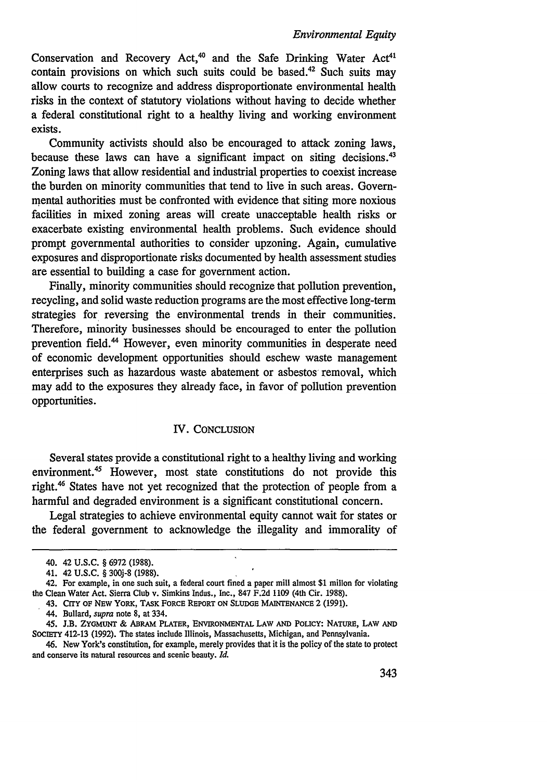Conservation and Recovery Act,<sup>40</sup> and the Safe Drinking Water Act<sup>41</sup> contain provisions on which such suits could be based.<sup>42</sup> Such suits may allow courts to recognize and address disproportionate environmental health risks in the context of statutory violations without having to decide whether a federal constitutional right to a healthy living and working environment exists.

Community activists should also be encouraged to attack zoning laws, because these laws can have a significant impact on siting decisions.<sup>43</sup> Zoning laws that allow residential and industrial properties to coexist increase the burden on minority communities that tend to live in such areas. Governmental authorities must be confronted with evidence that siting more noxious facilities in mixed zoning areas will create unacceptable health risks or exacerbate existing environmental health problems. Such evidence should prompt governmental authorities to consider upzoning. Again, cumulative exposures and disproportionate risks documented by health assessment studies are essential to building a case for government action.

Finally, minority communities should recognize that pollution prevention, recycling, and solid waste reduction programs are the most effective long-term strategies for reversing the environmental trends in their communities. Therefore, minority businesses should be encouraged to enter the pollution prevention field.<sup>44</sup> However, even minority communities in desperate need of economic development opportunities should eschew waste management enterprises such as hazardous waste abatement or asbestos removal, which may add to the exposures they already face, in favor of pollution prevention opportunities.

#### IV. CONCLUSION

Several states provide a constitutional right to a healthy living and working environment.<sup>45</sup> However, most state constitutions do not provide this right.<sup>46</sup> States have not yet recognized that the protection of people from a harmful and degraded environment is a significant constitutional concern.

Legal strategies to achieve environmental equity cannot wait for states or the federal government to acknowledge the illegality and immorality of

<sup>40. 42</sup> U.S.C. § 6972 (1988).

<sup>41. 42</sup> **U.S.C.** § 300j-8 **(1988).**

<sup>42.</sup> For example, in one such suit, a federal court fined a paper mill almost \$1 millon for violating the Clean Water Act. Sierra Club v. Simkins Indus., Inc., 847 F.2d 1109 (4th Cir. 1988).

<sup>43.</sup> CrrY **OF** NEW YORK, TASK FORCE REPORT ON SLUDGE MAINTENANCE 2 (1991).

<sup>44.</sup> Bullard, *supra* note 8, at 334.

<sup>45.</sup> **J.B.** ZYGMUNT & ABRAM PLATER, ENVIRONMENTAL LAW **AND** POLICY: **NATURE,** LAW **AND** SociETY 412-13 (1992). The states include Illinois, Massachusetts, Michigan, and Pennsylvania.

<sup>46.</sup> New York's constitution, for example, merely provides that it is the policy of the state to protect and conserve its natural resources and scenic beauty. *Id.*